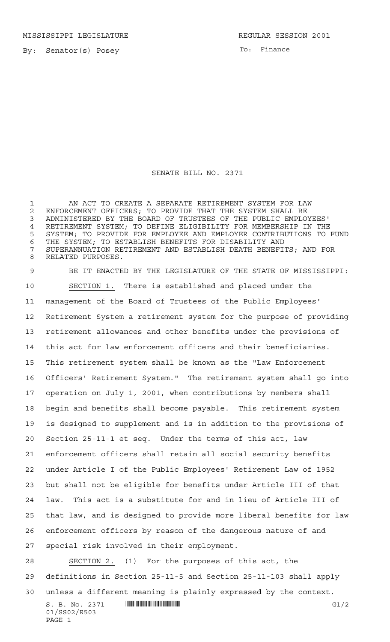MISSISSIPPI LEGISLATURE **REGULAR SESSION 2001** 

By: Senator(s) Posey

To: Finance

## SENATE BILL NO. 2371

 AN ACT TO CREATE A SEPARATE RETIREMENT SYSTEM FOR LAW 2 ENFORCEMENT OFFICERS; TO PROVIDE THAT THE SYSTEM SHALL BE<br>3 ADMINISTERED BY THE BOARD OF TRUSTEES OF THE PUBLIC EMPLO ADMINISTERED BY THE BOARD OF TRUSTEES OF THE PUBLIC EMPLOYEES' RETIREMENT SYSTEM; TO DEFINE ELIGIBILITY FOR MEMBERSHIP IN THE SYSTEM; TO PROVIDE FOR EMPLOYEE AND EMPLOYER CONTRIBUTIONS TO FUND THE SYSTEM; TO ESTABLISH BENEFITS FOR DISABILITY AND SUPERANNUATION RETIREMENT AND ESTABLISH DEATH BENEFITS; AND FOR RELATED PURPOSES.

 BE IT ENACTED BY THE LEGISLATURE OF THE STATE OF MISSISSIPPI: SECTION 1. There is established and placed under the management of the Board of Trustees of the Public Employees' Retirement System a retirement system for the purpose of providing retirement allowances and other benefits under the provisions of this act for law enforcement officers and their beneficiaries. This retirement system shall be known as the "Law Enforcement Officers' Retirement System." The retirement system shall go into operation on July 1, 2001, when contributions by members shall begin and benefits shall become payable. This retirement system is designed to supplement and is in addition to the provisions of Section 25-11-1 et seq. Under the terms of this act, law enforcement officers shall retain all social security benefits under Article I of the Public Employees' Retirement Law of 1952 but shall not be eligible for benefits under Article III of that law. This act is a substitute for and in lieu of Article III of that law, and is designed to provide more liberal benefits for law enforcement officers by reason of the dangerous nature of and special risk involved in their employment.

28 SECTION 2. (1) For the purposes of this act, the definitions in Section 25-11-5 and Section 25-11-103 shall apply

unless a different meaning is plainly expressed by the context.

S. B. No. 2371 \*SS02/R503\* G1/2 01/SS02/R503 PAGE 1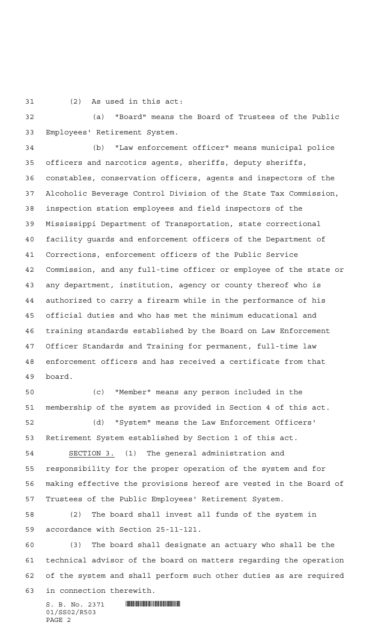(2) As used in this act:

 (a) "Board" means the Board of Trustees of the Public Employees' Retirement System.

 (b) "Law enforcement officer" means municipal police officers and narcotics agents, sheriffs, deputy sheriffs, constables, conservation officers, agents and inspectors of the Alcoholic Beverage Control Division of the State Tax Commission, inspection station employees and field inspectors of the Mississippi Department of Transportation, state correctional facility guards and enforcement officers of the Department of Corrections, enforcement officers of the Public Service Commission, and any full-time officer or employee of the state or any department, institution, agency or county thereof who is authorized to carry a firearm while in the performance of his official duties and who has met the minimum educational and training standards established by the Board on Law Enforcement Officer Standards and Training for permanent, full-time law enforcement officers and has received a certificate from that board.

 (c) "Member" means any person included in the membership of the system as provided in Section 4 of this act. (d) "System" means the Law Enforcement Officers'

Retirement System established by Section 1 of this act.

 SECTION 3. (1) The general administration and responsibility for the proper operation of the system and for making effective the provisions hereof are vested in the Board of Trustees of the Public Employees' Retirement System.

 (2) The board shall invest all funds of the system in accordance with Section 25-11-121.

 (3) The board shall designate an actuary who shall be the technical advisor of the board on matters regarding the operation of the system and shall perform such other duties as are required in connection therewith.

 $S. B. No. 2371$  **... Source and the set of the set of the set of the set of the set of the set of the set of the set of the set of the set of the set of the set of the set of the set of the set of the set of the set of the** 01/SS02/R503 PAGE 2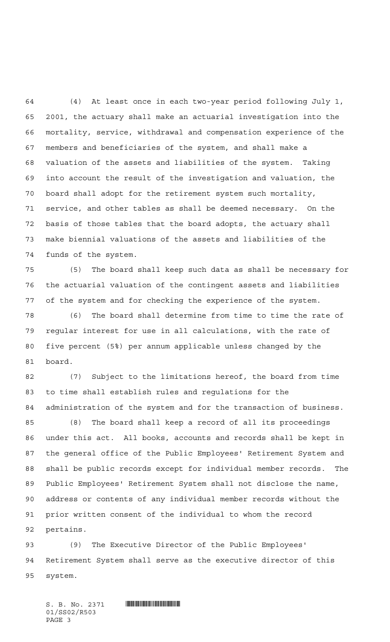(4) At least once in each two-year period following July 1, 2001, the actuary shall make an actuarial investigation into the mortality, service, withdrawal and compensation experience of the members and beneficiaries of the system, and shall make a valuation of the assets and liabilities of the system. Taking into account the result of the investigation and valuation, the board shall adopt for the retirement system such mortality, service, and other tables as shall be deemed necessary. On the basis of those tables that the board adopts, the actuary shall make biennial valuations of the assets and liabilities of the funds of the system.

 (5) The board shall keep such data as shall be necessary for the actuarial valuation of the contingent assets and liabilities of the system and for checking the experience of the system.

 (6) The board shall determine from time to time the rate of regular interest for use in all calculations, with the rate of five percent (5%) per annum applicable unless changed by the board.

 (7) Subject to the limitations hereof, the board from time to time shall establish rules and regulations for the administration of the system and for the transaction of business.

 (8) The board shall keep a record of all its proceedings under this act. All books, accounts and records shall be kept in the general office of the Public Employees' Retirement System and shall be public records except for individual member records. The Public Employees' Retirement System shall not disclose the name, address or contents of any individual member records without the prior written consent of the individual to whom the record pertains.

 (9) The Executive Director of the Public Employees' Retirement System shall serve as the executive director of this system.

 $S.$  B. No. 2371 **INSTERNATION CONSUMING A** 01/SS02/R503 PAGE 3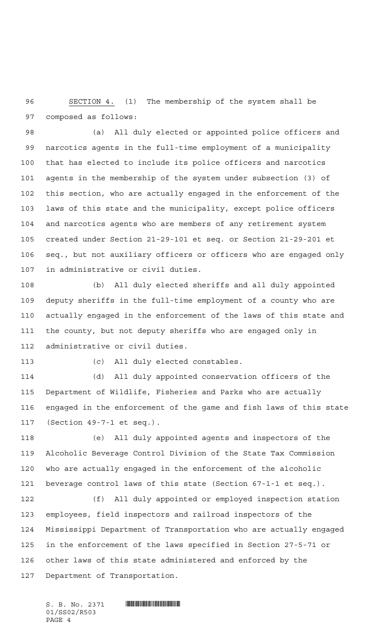SECTION 4. (1) The membership of the system shall be composed as follows:

 (a) All duly elected or appointed police officers and narcotics agents in the full-time employment of a municipality that has elected to include its police officers and narcotics agents in the membership of the system under subsection (3) of this section, who are actually engaged in the enforcement of the laws of this state and the municipality, except police officers and narcotics agents who are members of any retirement system created under Section 21-29-101 et seq. or Section 21-29-201 et seq., but not auxiliary officers or officers who are engaged only in administrative or civil duties.

 (b) All duly elected sheriffs and all duly appointed deputy sheriffs in the full-time employment of a county who are actually engaged in the enforcement of the laws of this state and the county, but not deputy sheriffs who are engaged only in administrative or civil duties.

(c) All duly elected constables.

 (d) All duly appointed conservation officers of the Department of Wildlife, Fisheries and Parks who are actually engaged in the enforcement of the game and fish laws of this state (Section 49-7-1 et seq.).

 (e) All duly appointed agents and inspectors of the Alcoholic Beverage Control Division of the State Tax Commission who are actually engaged in the enforcement of the alcoholic beverage control laws of this state (Section 67-1-1 et seq.).

 (f) All duly appointed or employed inspection station employees, field inspectors and railroad inspectors of the Mississippi Department of Transportation who are actually engaged in the enforcement of the laws specified in Section 27-5-71 or other laws of this state administered and enforced by the Department of Transportation.

01/SS02/R503 PAGE 4

 $S. B. No. 2371$  **... Source and the set of the set of the set of the set of the set of the set of the set of the set of the set of the set of the set of the set of the set of the set of the set of the set of the set of the**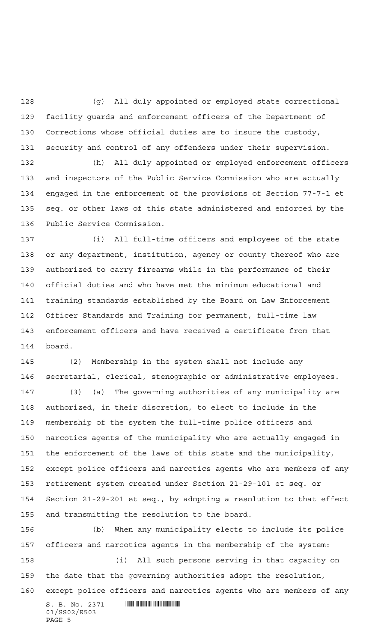(g) All duly appointed or employed state correctional facility guards and enforcement officers of the Department of Corrections whose official duties are to insure the custody, security and control of any offenders under their supervision.

 (h) All duly appointed or employed enforcement officers and inspectors of the Public Service Commission who are actually engaged in the enforcement of the provisions of Section 77-7-1 et seq. or other laws of this state administered and enforced by the Public Service Commission.

 (i) All full-time officers and employees of the state or any department, institution, agency or county thereof who are authorized to carry firearms while in the performance of their official duties and who have met the minimum educational and training standards established by the Board on Law Enforcement Officer Standards and Training for permanent, full-time law enforcement officers and have received a certificate from that board.

 (2) Membership in the system shall not include any secretarial, clerical, stenographic or administrative employees.

 (3) (a) The governing authorities of any municipality are authorized, in their discretion, to elect to include in the membership of the system the full-time police officers and narcotics agents of the municipality who are actually engaged in the enforcement of the laws of this state and the municipality, except police officers and narcotics agents who are members of any retirement system created under Section 21-29-101 et seq. or Section 21-29-201 et seq., by adopting a resolution to that effect and transmitting the resolution to the board.

 $S. B. No. 2371$  **... Source and the set of the set of the set of the set of the set of the set of the set of the set of the set of the set of the set of the set of the set of the set of the set of the set of the set of the**  (b) When any municipality elects to include its police officers and narcotics agents in the membership of the system: (i) All such persons serving in that capacity on the date that the governing authorities adopt the resolution, except police officers and narcotics agents who are members of any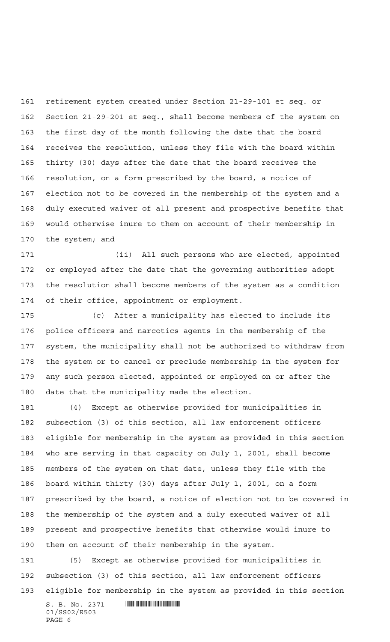retirement system created under Section 21-29-101 et seq. or Section 21-29-201 et seq., shall become members of the system on the first day of the month following the date that the board receives the resolution, unless they file with the board within thirty (30) days after the date that the board receives the resolution, on a form prescribed by the board, a notice of election not to be covered in the membership of the system and a duly executed waiver of all present and prospective benefits that would otherwise inure to them on account of their membership in the system; and

 (ii) All such persons who are elected, appointed or employed after the date that the governing authorities adopt the resolution shall become members of the system as a condition of their office, appointment or employment.

 (c) After a municipality has elected to include its police officers and narcotics agents in the membership of the system, the municipality shall not be authorized to withdraw from the system or to cancel or preclude membership in the system for any such person elected, appointed or employed on or after the date that the municipality made the election.

 (4) Except as otherwise provided for municipalities in subsection (3) of this section, all law enforcement officers eligible for membership in the system as provided in this section who are serving in that capacity on July 1, 2001, shall become members of the system on that date, unless they file with the board within thirty (30) days after July 1, 2001, on a form prescribed by the board, a notice of election not to be covered in the membership of the system and a duly executed waiver of all present and prospective benefits that otherwise would inure to them on account of their membership in the system.

 (5) Except as otherwise provided for municipalities in subsection (3) of this section, all law enforcement officers eligible for membership in the system as provided in this section

 $S. B. No. 2371$  **... INSECTION ASSESSED ASSESSED ASSESSED ASSESSED ASSESS** 01/SS02/R503 PAGE 6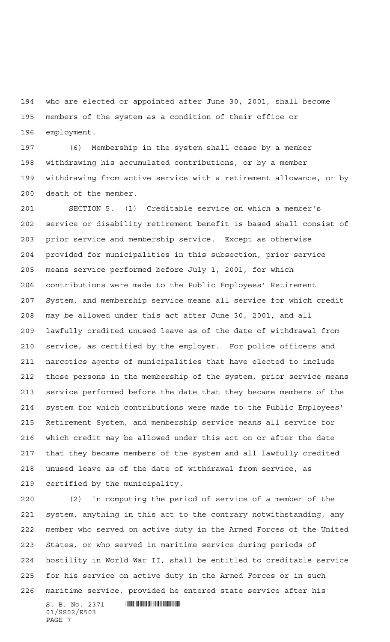who are elected or appointed after June 30, 2001, shall become members of the system as a condition of their office or employment.

 (6) Membership in the system shall cease by a member withdrawing his accumulated contributions, or by a member withdrawing from active service with a retirement allowance, or by death of the member.

 SECTION 5. (1) Creditable service on which a member's service or disability retirement benefit is based shall consist of prior service and membership service. Except as otherwise provided for municipalities in this subsection, prior service means service performed before July 1, 2001, for which contributions were made to the Public Employees' Retirement System, and membership service means all service for which credit may be allowed under this act after June 30, 2001, and all lawfully credited unused leave as of the date of withdrawal from service, as certified by the employer. For police officers and narcotics agents of municipalities that have elected to include those persons in the membership of the system, prior service means service performed before the date that they became members of the system for which contributions were made to the Public Employees' Retirement System, and membership service means all service for which credit may be allowed under this act on or after the date that they became members of the system and all lawfully credited unused leave as of the date of withdrawal from service, as certified by the municipality.

 (2) In computing the period of service of a member of the system, anything in this act to the contrary notwithstanding, any member who served on active duty in the Armed Forces of the United States, or who served in maritime service during periods of hostility in World War II, shall be entitled to creditable service for his service on active duty in the Armed Forces or in such maritime service, provided he entered state service after his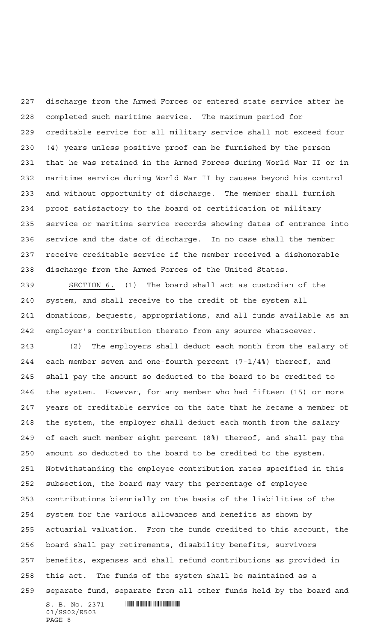discharge from the Armed Forces or entered state service after he completed such maritime service. The maximum period for creditable service for all military service shall not exceed four (4) years unless positive proof can be furnished by the person that he was retained in the Armed Forces during World War II or in maritime service during World War II by causes beyond his control and without opportunity of discharge. The member shall furnish proof satisfactory to the board of certification of military service or maritime service records showing dates of entrance into service and the date of discharge. In no case shall the member receive creditable service if the member received a dishonorable discharge from the Armed Forces of the United States.

 SECTION 6. (1) The board shall act as custodian of the system, and shall receive to the credit of the system all donations, bequests, appropriations, and all funds available as an employer's contribution thereto from any source whatsoever.

 (2) The employers shall deduct each month from the salary of each member seven and one-fourth percent (7-1/4%) thereof, and shall pay the amount so deducted to the board to be credited to the system. However, for any member who had fifteen (15) or more years of creditable service on the date that he became a member of the system, the employer shall deduct each month from the salary of each such member eight percent (8%) thereof, and shall pay the amount so deducted to the board to be credited to the system. Notwithstanding the employee contribution rates specified in this subsection, the board may vary the percentage of employee contributions biennially on the basis of the liabilities of the system for the various allowances and benefits as shown by actuarial valuation. From the funds credited to this account, the board shall pay retirements, disability benefits, survivors benefits, expenses and shall refund contributions as provided in this act. The funds of the system shall be maintained as a separate fund, separate from all other funds held by the board and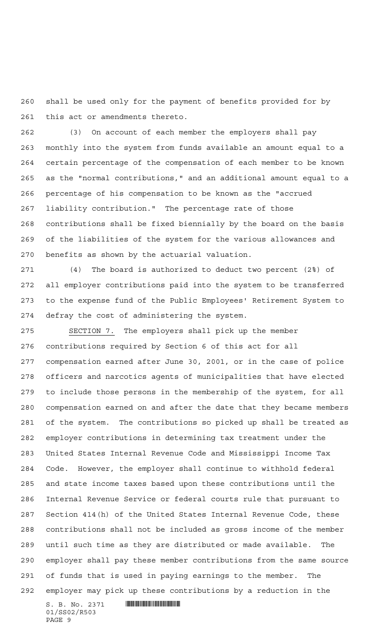shall be used only for the payment of benefits provided for by this act or amendments thereto.

 (3) On account of each member the employers shall pay monthly into the system from funds available an amount equal to a certain percentage of the compensation of each member to be known as the "normal contributions," and an additional amount equal to a percentage of his compensation to be known as the "accrued liability contribution." The percentage rate of those contributions shall be fixed biennially by the board on the basis of the liabilities of the system for the various allowances and benefits as shown by the actuarial valuation.

 (4) The board is authorized to deduct two percent (2%) of all employer contributions paid into the system to be transferred to the expense fund of the Public Employees' Retirement System to defray the cost of administering the system.

 SECTION 7. The employers shall pick up the member contributions required by Section 6 of this act for all compensation earned after June 30, 2001, or in the case of police officers and narcotics agents of municipalities that have elected to include those persons in the membership of the system, for all compensation earned on and after the date that they became members of the system. The contributions so picked up shall be treated as employer contributions in determining tax treatment under the United States Internal Revenue Code and Mississippi Income Tax Code. However, the employer shall continue to withhold federal and state income taxes based upon these contributions until the Internal Revenue Service or federal courts rule that pursuant to Section 414(h) of the United States Internal Revenue Code, these contributions shall not be included as gross income of the member until such time as they are distributed or made available. The employer shall pay these member contributions from the same source of funds that is used in paying earnings to the member. The employer may pick up these contributions by a reduction in the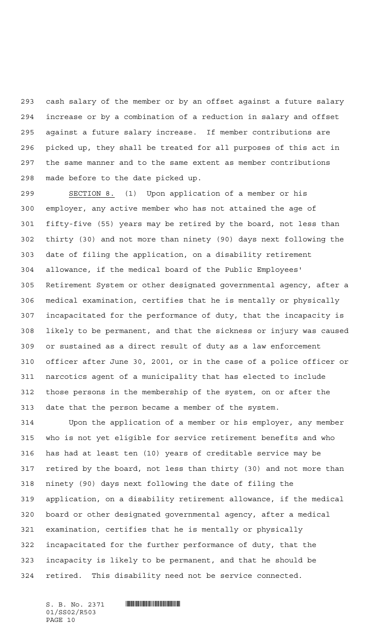cash salary of the member or by an offset against a future salary increase or by a combination of a reduction in salary and offset against a future salary increase. If member contributions are picked up, they shall be treated for all purposes of this act in the same manner and to the same extent as member contributions made before to the date picked up.

 SECTION 8. (1) Upon application of a member or his employer, any active member who has not attained the age of fifty-five (55) years may be retired by the board, not less than thirty (30) and not more than ninety (90) days next following the date of filing the application, on a disability retirement allowance, if the medical board of the Public Employees' Retirement System or other designated governmental agency, after a medical examination, certifies that he is mentally or physically incapacitated for the performance of duty, that the incapacity is likely to be permanent, and that the sickness or injury was caused or sustained as a direct result of duty as a law enforcement officer after June 30, 2001, or in the case of a police officer or narcotics agent of a municipality that has elected to include those persons in the membership of the system, on or after the date that the person became a member of the system.

 Upon the application of a member or his employer, any member who is not yet eligible for service retirement benefits and who has had at least ten (10) years of creditable service may be retired by the board, not less than thirty (30) and not more than ninety (90) days next following the date of filing the application, on a disability retirement allowance, if the medical board or other designated governmental agency, after a medical examination, certifies that he is mentally or physically incapacitated for the further performance of duty, that the incapacity is likely to be permanent, and that he should be retired. This disability need not be service connected.

01/SS02/R503 PAGE 10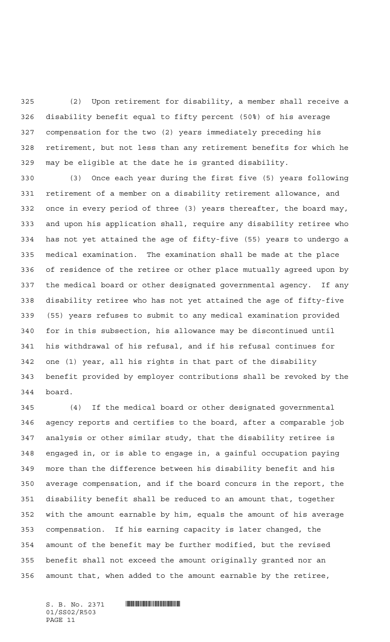(2) Upon retirement for disability, a member shall receive a disability benefit equal to fifty percent (50%) of his average compensation for the two (2) years immediately preceding his retirement, but not less than any retirement benefits for which he may be eligible at the date he is granted disability.

 (3) Once each year during the first five (5) years following retirement of a member on a disability retirement allowance, and once in every period of three (3) years thereafter, the board may, and upon his application shall, require any disability retiree who has not yet attained the age of fifty-five (55) years to undergo a medical examination. The examination shall be made at the place of residence of the retiree or other place mutually agreed upon by the medical board or other designated governmental agency. If any disability retiree who has not yet attained the age of fifty-five (55) years refuses to submit to any medical examination provided for in this subsection, his allowance may be discontinued until his withdrawal of his refusal, and if his refusal continues for one (1) year, all his rights in that part of the disability benefit provided by employer contributions shall be revoked by the board.

 (4) If the medical board or other designated governmental agency reports and certifies to the board, after a comparable job analysis or other similar study, that the disability retiree is engaged in, or is able to engage in, a gainful occupation paying more than the difference between his disability benefit and his average compensation, and if the board concurs in the report, the disability benefit shall be reduced to an amount that, together with the amount earnable by him, equals the amount of his average compensation. If his earning capacity is later changed, the amount of the benefit may be further modified, but the revised benefit shall not exceed the amount originally granted nor an amount that, when added to the amount earnable by the retiree,

01/SS02/R503 PAGE 11

 $S. B. No. 2371$  **... Source and the set of the set of the set of the set of the set of the set of the set of the set of the set of the set of the set of the set of the set of the set of the set of the set of the set of the**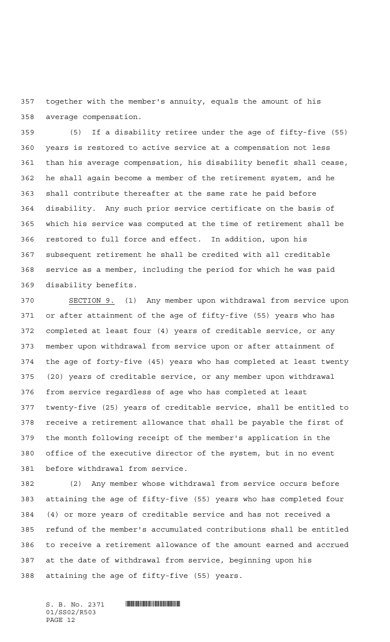together with the member's annuity, equals the amount of his average compensation.

 (5) If a disability retiree under the age of fifty-five (55) years is restored to active service at a compensation not less than his average compensation, his disability benefit shall cease, he shall again become a member of the retirement system, and he shall contribute thereafter at the same rate he paid before disability. Any such prior service certificate on the basis of which his service was computed at the time of retirement shall be restored to full force and effect. In addition, upon his subsequent retirement he shall be credited with all creditable service as a member, including the period for which he was paid disability benefits.

 SECTION 9. (1) Any member upon withdrawal from service upon or after attainment of the age of fifty-five (55) years who has completed at least four (4) years of creditable service, or any member upon withdrawal from service upon or after attainment of the age of forty-five (45) years who has completed at least twenty (20) years of creditable service, or any member upon withdrawal from service regardless of age who has completed at least twenty-five (25) years of creditable service, shall be entitled to receive a retirement allowance that shall be payable the first of the month following receipt of the member's application in the office of the executive director of the system, but in no event before withdrawal from service.

 (2) Any member whose withdrawal from service occurs before attaining the age of fifty-five (55) years who has completed four (4) or more years of creditable service and has not received a refund of the member's accumulated contributions shall be entitled to receive a retirement allowance of the amount earned and accrued at the date of withdrawal from service, beginning upon his attaining the age of fifty-five (55) years.

 $S. B. No. 2371$  **... Source and the set of the set of the set of the set of the set of the set of the set of the set of the set of the set of the set of the set of the set of the set of the set of the set of the set of the** 01/SS02/R503 PAGE 12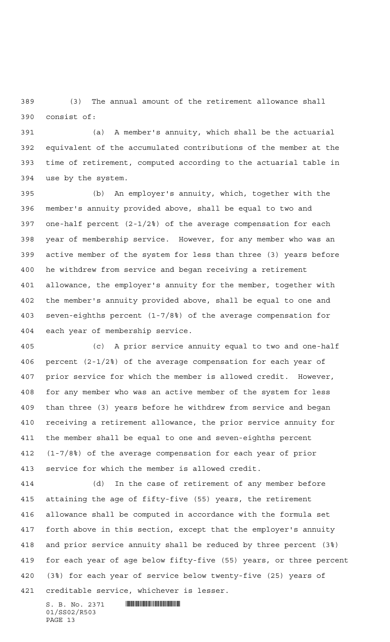(3) The annual amount of the retirement allowance shall consist of:

 (a) A member's annuity, which shall be the actuarial equivalent of the accumulated contributions of the member at the time of retirement, computed according to the actuarial table in use by the system.

 (b) An employer's annuity, which, together with the member's annuity provided above, shall be equal to two and one-half percent (2-1/2%) of the average compensation for each year of membership service. However, for any member who was an active member of the system for less than three (3) years before he withdrew from service and began receiving a retirement allowance, the employer's annuity for the member, together with the member's annuity provided above, shall be equal to one and seven-eighths percent (1-7/8%) of the average compensation for each year of membership service.

 (c) A prior service annuity equal to two and one-half percent (2-1/2%) of the average compensation for each year of prior service for which the member is allowed credit. However, for any member who was an active member of the system for less than three (3) years before he withdrew from service and began receiving a retirement allowance, the prior service annuity for the member shall be equal to one and seven-eighths percent (1-7/8%) of the average compensation for each year of prior service for which the member is allowed credit.

 (d) In the case of retirement of any member before attaining the age of fifty-five (55) years, the retirement allowance shall be computed in accordance with the formula set forth above in this section, except that the employer's annuity and prior service annuity shall be reduced by three percent (3%) for each year of age below fifty-five (55) years, or three percent (3%) for each year of service below twenty-five (25) years of creditable service, whichever is lesser.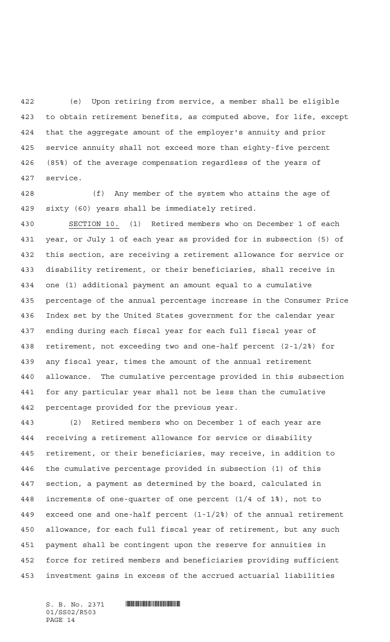(e) Upon retiring from service, a member shall be eligible to obtain retirement benefits, as computed above, for life, except that the aggregate amount of the employer's annuity and prior service annuity shall not exceed more than eighty-five percent (85%) of the average compensation regardless of the years of service.

 (f) Any member of the system who attains the age of sixty (60) years shall be immediately retired.

 SECTION 10. (1) Retired members who on December 1 of each year, or July 1 of each year as provided for in subsection (5) of this section, are receiving a retirement allowance for service or disability retirement, or their beneficiaries, shall receive in one (1) additional payment an amount equal to a cumulative percentage of the annual percentage increase in the Consumer Price Index set by the United States government for the calendar year ending during each fiscal year for each full fiscal year of retirement, not exceeding two and one-half percent (2-1/2%) for any fiscal year, times the amount of the annual retirement allowance. The cumulative percentage provided in this subsection for any particular year shall not be less than the cumulative percentage provided for the previous year.

 (2) Retired members who on December 1 of each year are receiving a retirement allowance for service or disability retirement, or their beneficiaries, may receive, in addition to the cumulative percentage provided in subsection (1) of this section, a payment as determined by the board, calculated in increments of one-quarter of one percent (1/4 of 1%), not to exceed one and one-half percent (1-1/2%) of the annual retirement allowance, for each full fiscal year of retirement, but any such payment shall be contingent upon the reserve for annuities in force for retired members and beneficiaries providing sufficient investment gains in excess of the accrued actuarial liabilities

01/SS02/R503 PAGE 14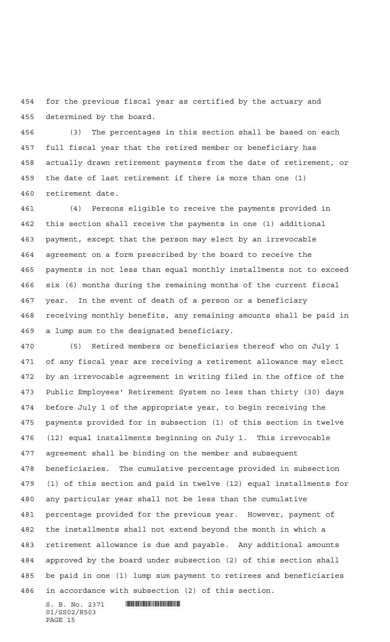for the previous fiscal year as certified by the actuary and determined by the board.

 (3) The percentages in this section shall be based on each full fiscal year that the retired member or beneficiary has actually drawn retirement payments from the date of retirement, or the date of last retirement if there is more than one (1) retirement date.

 (4) Persons eligible to receive the payments provided in this section shall receive the payments in one (1) additional payment, except that the person may elect by an irrevocable agreement on a form prescribed by the board to receive the payments in not less than equal monthly installments not to exceed six (6) months during the remaining months of the current fiscal year. In the event of death of a person or a beneficiary receiving monthly benefits, any remaining amounts shall be paid in a lump sum to the designated beneficiary.

 (5) Retired members or beneficiaries thereof who on July 1 of any fiscal year are receiving a retirement allowance may elect by an irrevocable agreement in writing filed in the office of the Public Employees' Retirement System no less than thirty (30) days before July 1 of the appropriate year, to begin receiving the payments provided for in subsection (1) of this section in twelve (12) equal installments beginning on July 1. This irrevocable agreement shall be binding on the member and subsequent beneficiaries. The cumulative percentage provided in subsection (1) of this section and paid in twelve (12) equal installments for any particular year shall not be less than the cumulative percentage provided for the previous year. However, payment of the installments shall not extend beyond the month in which a retirement allowance is due and payable. Any additional amounts approved by the board under subsection (2) of this section shall be paid in one (1) lump sum payment to retirees and beneficiaries in accordance with subsection (2) of this section.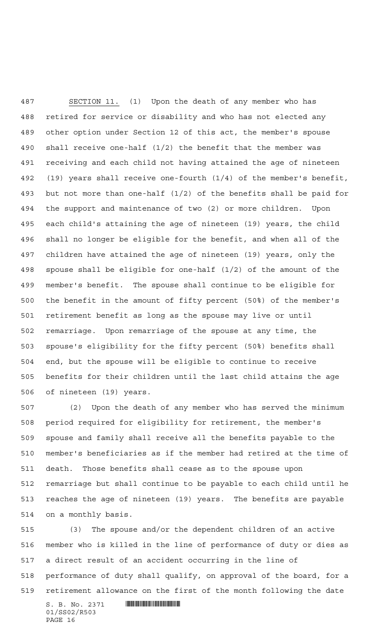SECTION 11. (1) Upon the death of any member who has retired for service or disability and who has not elected any other option under Section 12 of this act, the member's spouse shall receive one-half (1/2) the benefit that the member was receiving and each child not having attained the age of nineteen (19) years shall receive one-fourth (1/4) of the member's benefit, but not more than one-half (1/2) of the benefits shall be paid for the support and maintenance of two (2) or more children. Upon each child's attaining the age of nineteen (19) years, the child shall no longer be eligible for the benefit, and when all of the children have attained the age of nineteen (19) years, only the spouse shall be eligible for one-half (1/2) of the amount of the member's benefit. The spouse shall continue to be eligible for the benefit in the amount of fifty percent (50%) of the member's retirement benefit as long as the spouse may live or until remarriage. Upon remarriage of the spouse at any time, the spouse's eligibility for the fifty percent (50%) benefits shall end, but the spouse will be eligible to continue to receive benefits for their children until the last child attains the age of nineteen (19) years.

 (2) Upon the death of any member who has served the minimum period required for eligibility for retirement, the member's spouse and family shall receive all the benefits payable to the member's beneficiaries as if the member had retired at the time of death. Those benefits shall cease as to the spouse upon remarriage but shall continue to be payable to each child until he reaches the age of nineteen (19) years. The benefits are payable on a monthly basis.

 $S. B. No. 2371$  **... Source and the set of the set of the set of the set of the set of the set of the set of the set of the set of the set of the set of the set of the set of the set of the set of the set of the set of the**  (3) The spouse and/or the dependent children of an active member who is killed in the line of performance of duty or dies as a direct result of an accident occurring in the line of performance of duty shall qualify, on approval of the board, for a retirement allowance on the first of the month following the date

01/SS02/R503 PAGE 16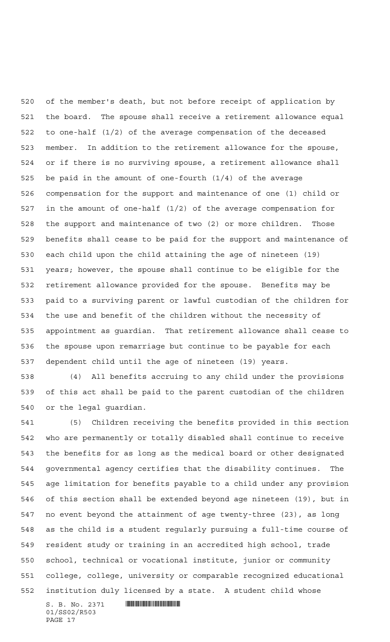of the member's death, but not before receipt of application by the board. The spouse shall receive a retirement allowance equal to one-half (1/2) of the average compensation of the deceased member. In addition to the retirement allowance for the spouse, or if there is no surviving spouse, a retirement allowance shall be paid in the amount of one-fourth (1/4) of the average compensation for the support and maintenance of one (1) child or in the amount of one-half (1/2) of the average compensation for the support and maintenance of two (2) or more children. Those benefits shall cease to be paid for the support and maintenance of each child upon the child attaining the age of nineteen (19) years; however, the spouse shall continue to be eligible for the retirement allowance provided for the spouse. Benefits may be paid to a surviving parent or lawful custodian of the children for the use and benefit of the children without the necessity of appointment as guardian. That retirement allowance shall cease to the spouse upon remarriage but continue to be payable for each dependent child until the age of nineteen (19) years.

 (4) All benefits accruing to any child under the provisions of this act shall be paid to the parent custodian of the children or the legal guardian.

 (5) Children receiving the benefits provided in this section who are permanently or totally disabled shall continue to receive the benefits for as long as the medical board or other designated governmental agency certifies that the disability continues. The age limitation for benefits payable to a child under any provision of this section shall be extended beyond age nineteen (19), but in no event beyond the attainment of age twenty-three (23), as long as the child is a student regularly pursuing a full-time course of resident study or training in an accredited high school, trade school, technical or vocational institute, junior or community college, college, university or comparable recognized educational institution duly licensed by a state. A student child whose

 $S. B. No. 2371$  **Will be a set of the set of the set of the set of the set of the set of the set of the set of the set of the set of the set of the set of the set of the set of the set of the set of the set of the set of th** 01/SS02/R503 PAGE 17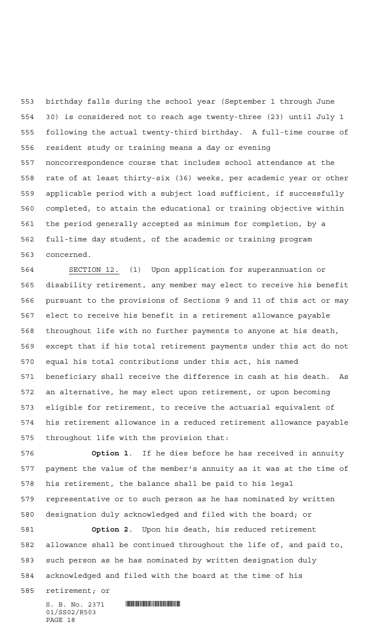birthday falls during the school year (September 1 through June 30) is considered not to reach age twenty-three (23) until July 1 following the actual twenty-third birthday. A full-time course of resident study or training means a day or evening noncorrespondence course that includes school attendance at the rate of at least thirty-six (36) weeks, per academic year or other applicable period with a subject load sufficient, if successfully completed, to attain the educational or training objective within the period generally accepted as minimum for completion, by a full-time day student, of the academic or training program concerned.

 SECTION 12. (1) Upon application for superannuation or disability retirement, any member may elect to receive his benefit pursuant to the provisions of Sections 9 and 11 of this act or may elect to receive his benefit in a retirement allowance payable throughout life with no further payments to anyone at his death, except that if his total retirement payments under this act do not equal his total contributions under this act, his named beneficiary shall receive the difference in cash at his death. As an alternative, he may elect upon retirement, or upon becoming eligible for retirement, to receive the actuarial equivalent of his retirement allowance in a reduced retirement allowance payable throughout life with the provision that:

 **Option 1**. If he dies before he has received in annuity payment the value of the member's annuity as it was at the time of his retirement, the balance shall be paid to his legal representative or to such person as he has nominated by written designation duly acknowledged and filed with the board; or

 **Option 2**. Upon his death, his reduced retirement allowance shall be continued throughout the life of, and paid to, such person as he has nominated by written designation duly acknowledged and filed with the board at the time of his

retirement; or

01/SS02/R503 PAGE 18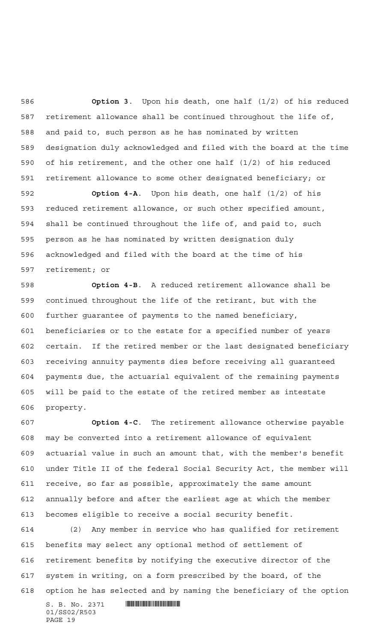**Option 3**. Upon his death, one half (1/2) of his reduced retirement allowance shall be continued throughout the life of, and paid to, such person as he has nominated by written designation duly acknowledged and filed with the board at the time of his retirement, and the other one half (1/2) of his reduced retirement allowance to some other designated beneficiary; or

 **Option 4-A**. Upon his death, one half (1/2) of his reduced retirement allowance, or such other specified amount, shall be continued throughout the life of, and paid to, such person as he has nominated by written designation duly acknowledged and filed with the board at the time of his retirement; or

 **Option 4-B**. A reduced retirement allowance shall be continued throughout the life of the retirant, but with the further guarantee of payments to the named beneficiary, beneficiaries or to the estate for a specified number of years certain. If the retired member or the last designated beneficiary receiving annuity payments dies before receiving all guaranteed payments due, the actuarial equivalent of the remaining payments will be paid to the estate of the retired member as intestate property.

 **Option 4-C**. The retirement allowance otherwise payable may be converted into a retirement allowance of equivalent actuarial value in such an amount that, with the member's benefit under Title II of the federal Social Security Act, the member will receive, so far as possible, approximately the same amount annually before and after the earliest age at which the member becomes eligible to receive a social security benefit.

 (2) Any member in service who has qualified for retirement benefits may select any optional method of settlement of retirement benefits by notifying the executive director of the system in writing, on a form prescribed by the board, of the option he has selected and by naming the beneficiary of the option

 $S. B. No. 2371$  **Will be a set of the set of the set of the set of the set of the set of the set of the set of the set of the set of the set of the set of the set of the set of the set of the set of the set of the set of th** 01/SS02/R503 PAGE 19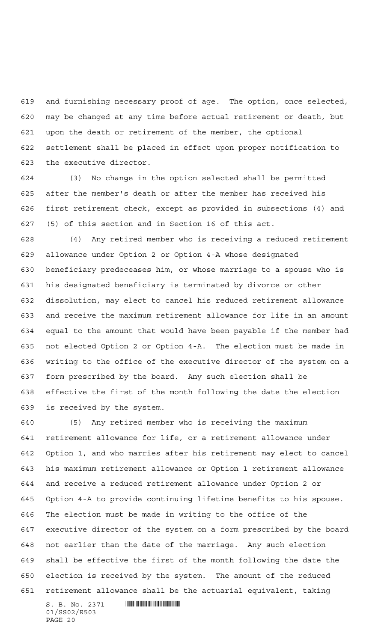and furnishing necessary proof of age. The option, once selected, may be changed at any time before actual retirement or death, but upon the death or retirement of the member, the optional settlement shall be placed in effect upon proper notification to the executive director.

 (3) No change in the option selected shall be permitted after the member's death or after the member has received his first retirement check, except as provided in subsections (4) and (5) of this section and in Section 16 of this act.

 (4) Any retired member who is receiving a reduced retirement allowance under Option 2 or Option 4-A whose designated beneficiary predeceases him, or whose marriage to a spouse who is his designated beneficiary is terminated by divorce or other dissolution, may elect to cancel his reduced retirement allowance and receive the maximum retirement allowance for life in an amount equal to the amount that would have been payable if the member had not elected Option 2 or Option 4-A. The election must be made in writing to the office of the executive director of the system on a form prescribed by the board. Any such election shall be effective the first of the month following the date the election is received by the system.

 (5) Any retired member who is receiving the maximum retirement allowance for life, or a retirement allowance under Option 1, and who marries after his retirement may elect to cancel his maximum retirement allowance or Option 1 retirement allowance and receive a reduced retirement allowance under Option 2 or Option 4-A to provide continuing lifetime benefits to his spouse. The election must be made in writing to the office of the executive director of the system on a form prescribed by the board not earlier than the date of the marriage. Any such election shall be effective the first of the month following the date the election is received by the system. The amount of the reduced retirement allowance shall be the actuarial equivalent, taking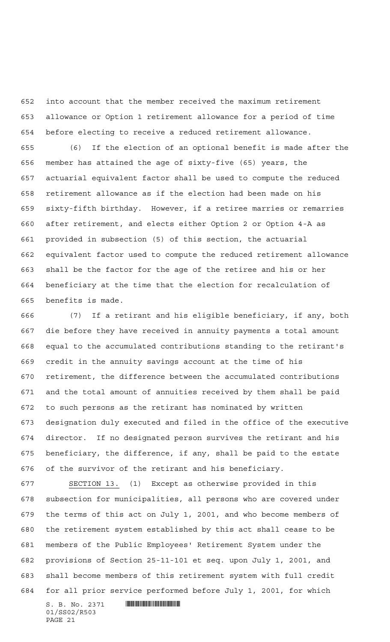into account that the member received the maximum retirement allowance or Option 1 retirement allowance for a period of time before electing to receive a reduced retirement allowance.

 (6) If the election of an optional benefit is made after the member has attained the age of sixty-five (65) years, the actuarial equivalent factor shall be used to compute the reduced retirement allowance as if the election had been made on his sixty-fifth birthday. However, if a retiree marries or remarries after retirement, and elects either Option 2 or Option 4-A as provided in subsection (5) of this section, the actuarial equivalent factor used to compute the reduced retirement allowance shall be the factor for the age of the retiree and his or her beneficiary at the time that the election for recalculation of benefits is made.

 (7) If a retirant and his eligible beneficiary, if any, both die before they have received in annuity payments a total amount equal to the accumulated contributions standing to the retirant's credit in the annuity savings account at the time of his retirement, the difference between the accumulated contributions and the total amount of annuities received by them shall be paid to such persons as the retirant has nominated by written designation duly executed and filed in the office of the executive director. If no designated person survives the retirant and his beneficiary, the difference, if any, shall be paid to the estate of the survivor of the retirant and his beneficiary.

 SECTION 13. (1) Except as otherwise provided in this subsection for municipalities, all persons who are covered under the terms of this act on July 1, 2001, and who become members of the retirement system established by this act shall cease to be members of the Public Employees' Retirement System under the provisions of Section 25-11-101 et seq. upon July 1, 2001, and shall become members of this retirement system with full credit for all prior service performed before July 1, 2001, for which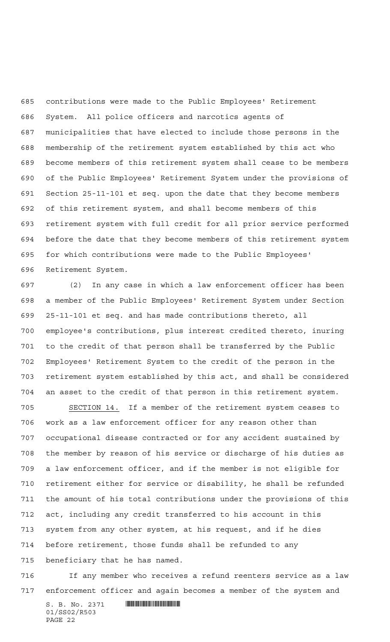contributions were made to the Public Employees' Retirement System. All police officers and narcotics agents of municipalities that have elected to include those persons in the membership of the retirement system established by this act who become members of this retirement system shall cease to be members of the Public Employees' Retirement System under the provisions of Section 25-11-101 et seq. upon the date that they become members of this retirement system, and shall become members of this retirement system with full credit for all prior service performed before the date that they become members of this retirement system for which contributions were made to the Public Employees' Retirement System.

 (2) In any case in which a law enforcement officer has been a member of the Public Employees' Retirement System under Section 25-11-101 et seq. and has made contributions thereto, all employee's contributions, plus interest credited thereto, inuring to the credit of that person shall be transferred by the Public Employees' Retirement System to the credit of the person in the retirement system established by this act, and shall be considered an asset to the credit of that person in this retirement system.

 SECTION 14. If a member of the retirement system ceases to work as a law enforcement officer for any reason other than occupational disease contracted or for any accident sustained by the member by reason of his service or discharge of his duties as a law enforcement officer, and if the member is not eligible for retirement either for service or disability, he shall be refunded the amount of his total contributions under the provisions of this act, including any credit transferred to his account in this system from any other system, at his request, and if he dies before retirement, those funds shall be refunded to any beneficiary that he has named.

 If any member who receives a refund reenters service as a law enforcement officer and again becomes a member of the system and

 $S. B. No. 2371$  . The set of  $S. B. N_O.$ 01/SS02/R503 PAGE 22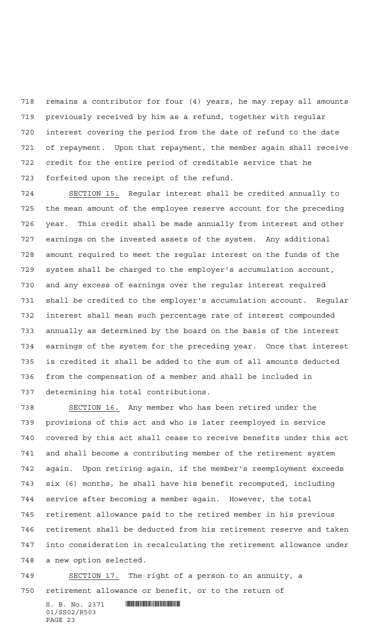remains a contributor for four (4) years, he may repay all amounts previously received by him as a refund, together with regular interest covering the period from the date of refund to the date of repayment. Upon that repayment, the member again shall receive credit for the entire period of creditable service that he forfeited upon the receipt of the refund.

 SECTION 15. Regular interest shall be credited annually to the mean amount of the employee reserve account for the preceding year. This credit shall be made annually from interest and other earnings on the invested assets of the system. Any additional amount required to meet the regular interest on the funds of the system shall be charged to the employer's accumulation account, and any excess of earnings over the regular interest required shall be credited to the employer's accumulation account. Regular interest shall mean such percentage rate of interest compounded annually as determined by the board on the basis of the interest earnings of the system for the preceding year. Once that interest is credited it shall be added to the sum of all amounts deducted from the compensation of a member and shall be included in determining his total contributions.

 SECTION 16. Any member who has been retired under the provisions of this act and who is later reemployed in service covered by this act shall cease to receive benefits under this act and shall become a contributing member of the retirement system again. Upon retiring again, if the member's reemployment exceeds six (6) months, he shall have his benefit recomputed, including service after becoming a member again. However, the total retirement allowance paid to the retired member in his previous retirement shall be deducted from his retirement reserve and taken into consideration in recalculating the retirement allowance under a new option selected.

 SECTION 17. The right of a person to an annuity, a retirement allowance or benefit, or to the return of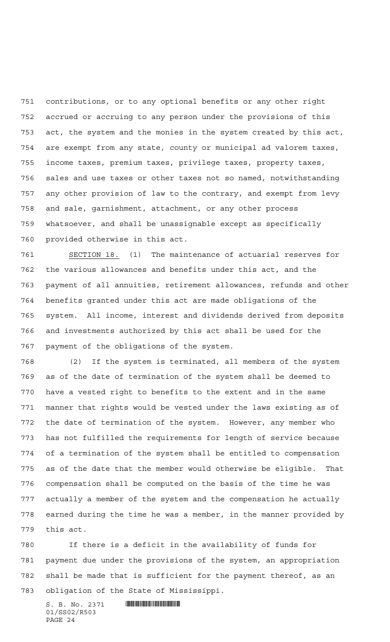contributions, or to any optional benefits or any other right accrued or accruing to any person under the provisions of this act, the system and the monies in the system created by this act, are exempt from any state, county or municipal ad valorem taxes, income taxes, premium taxes, privilege taxes, property taxes, sales and use taxes or other taxes not so named, notwithstanding any other provision of law to the contrary, and exempt from levy and sale, garnishment, attachment, or any other process whatsoever, and shall be unassignable except as specifically provided otherwise in this act.

 SECTION 18. (1) The maintenance of actuarial reserves for the various allowances and benefits under this act, and the payment of all annuities, retirement allowances, refunds and other benefits granted under this act are made obligations of the system. All income, interest and dividends derived from deposits and investments authorized by this act shall be used for the payment of the obligations of the system.

 (2) If the system is terminated, all members of the system as of the date of termination of the system shall be deemed to have a vested right to benefits to the extent and in the same manner that rights would be vested under the laws existing as of the date of termination of the system. However, any member who has not fulfilled the requirements for length of service because of a termination of the system shall be entitled to compensation as of the date that the member would otherwise be eligible. That compensation shall be computed on the basis of the time he was actually a member of the system and the compensation he actually earned during the time he was a member, in the manner provided by this act.

 If there is a deficit in the availability of funds for payment due under the provisions of the system, an appropriation shall be made that is sufficient for the payment thereof, as an obligation of the State of Mississippi.

 $S. B. No. 2371$  **... Souther and the set of the set of the set of the set of the set of the set of the set of the set of the set of the set of the set of the set of the set of the set of the set of the set of the set of the** 01/SS02/R503 PAGE 24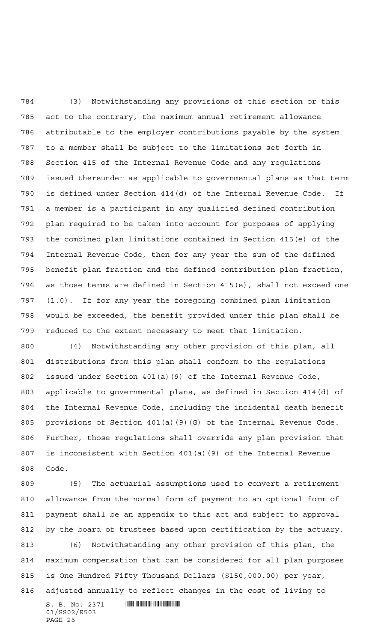(3) Notwithstanding any provisions of this section or this act to the contrary, the maximum annual retirement allowance attributable to the employer contributions payable by the system to a member shall be subject to the limitations set forth in Section 415 of the Internal Revenue Code and any regulations issued thereunder as applicable to governmental plans as that term is defined under Section 414(d) of the Internal Revenue Code. If a member is a participant in any qualified defined contribution plan required to be taken into account for purposes of applying the combined plan limitations contained in Section 415(e) of the Internal Revenue Code, then for any year the sum of the defined benefit plan fraction and the defined contribution plan fraction, as those terms are defined in Section 415(e), shall not exceed one (1.0). If for any year the foregoing combined plan limitation would be exceeded, the benefit provided under this plan shall be reduced to the extent necessary to meet that limitation.

 (4) Notwithstanding any other provision of this plan, all distributions from this plan shall conform to the regulations issued under Section 401(a)(9) of the Internal Revenue Code, applicable to governmental plans, as defined in Section 414(d) of the Internal Revenue Code, including the incidental death benefit provisions of Section 401(a)(9)(G) of the Internal Revenue Code. Further, those regulations shall override any plan provision that is inconsistent with Section 401(a)(9) of the Internal Revenue Code.

 $S. B. No. 2371$  **Will be a set of the set of the set of the set of the set of the set of the set of the set of the set of the set of the set of the set of the set of the set of the set of the set of the set of the set of th**  (5) The actuarial assumptions used to convert a retirement allowance from the normal form of payment to an optional form of payment shall be an appendix to this act and subject to approval by the board of trustees based upon certification by the actuary. (6) Notwithstanding any other provision of this plan, the maximum compensation that can be considered for all plan purposes is One Hundred Fifty Thousand Dollars (\$150,000.00) per year, adjusted annually to reflect changes in the cost of living to

01/SS02/R503 PAGE 25